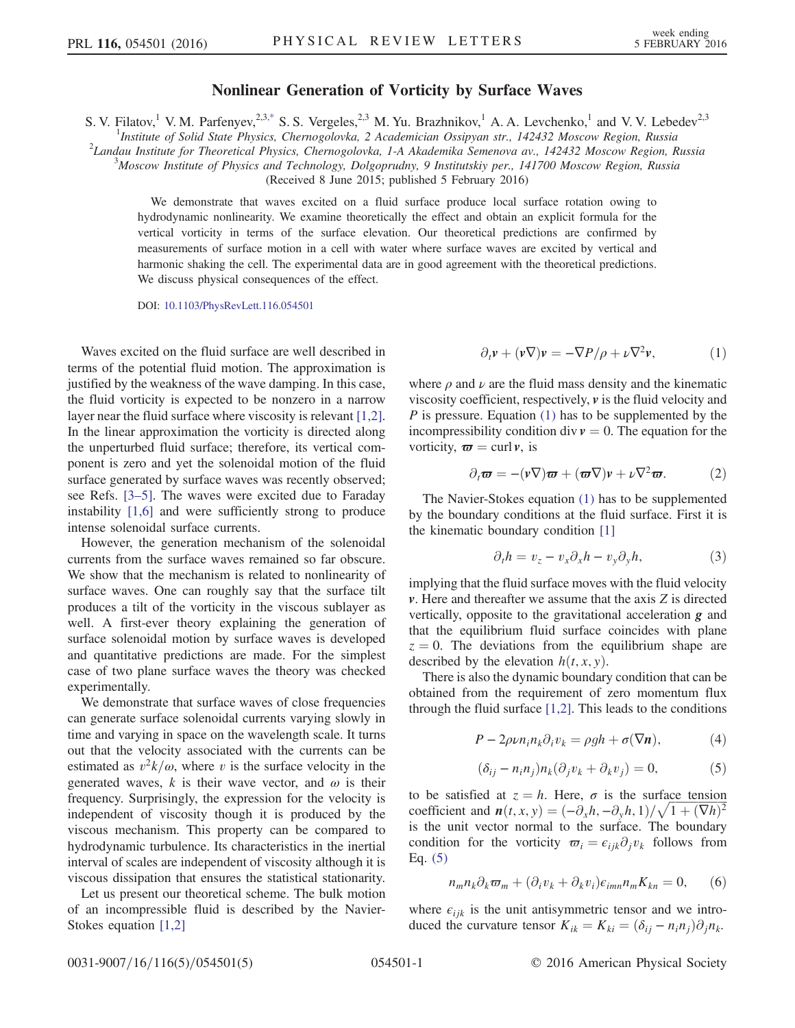## Nonlinear Generation of Vorticity by Surface Waves

<span id="page-0-4"></span>S. V. Filatov,<sup>1</sup> V. M. Parfenyev,<sup>2,3[,\\*](#page-3-0)</sup> S. S. Vergeles,<sup>2,3</sup> M. Yu. Brazhnikov,<sup>1</sup> A. A. Levchenko,<sup>1</sup> and V. V. Lebedev<sup>2,3</sup><br><sup>1</sup>*Institute of Solid State Physics, Chernogolovka, 2 Academician Ossipyan str., 142432 Mosc* 

 $2$ Landau Institute for Theoretical Physics, Chernogolovka, 1-A Akademika Semenova av., 142432 Moscow Region, Russia

<sup>3</sup>Moscow Institute of Physics and Technology, Dolgoprudny, 9 Institutskiy per., 141700 Moscow Region, Russia

(Received 8 June 2015; published 5 February 2016)

We demonstrate that waves excited on a fluid surface produce local surface rotation owing to hydrodynamic nonlinearity. We examine theoretically the effect and obtain an explicit formula for the vertical vorticity in terms of the surface elevation. Our theoretical predictions are confirmed by measurements of surface motion in a cell with water where surface waves are excited by vertical and harmonic shaking the cell. The experimental data are in good agreement with the theoretical predictions. We discuss physical consequences of the effect.

DOI: [10.1103/PhysRevLett.116.054501](http://dx.doi.org/10.1103/PhysRevLett.116.054501)

Waves excited on the fluid surface are well described in terms of the potential fluid motion. The approximation is justified by the weakness of the wave damping. In this case, the fluid vorticity is expected to be nonzero in a narrow layer near the fluid surface where viscosity is relevant [\[1,2\]](#page-3-1). In the linear approximation the vorticity is directed along the unperturbed fluid surface; therefore, its vertical component is zero and yet the solenoidal motion of the fluid surface generated by surface waves was recently observed; see Refs. [3–[5\].](#page-3-2) The waves were excited due to Faraday instability [\[1,6\]](#page-3-1) and were sufficiently strong to produce intense solenoidal surface currents.

However, the generation mechanism of the solenoidal currents from the surface waves remained so far obscure. We show that the mechanism is related to nonlinearity of surface waves. One can roughly say that the surface tilt produces a tilt of the vorticity in the viscous sublayer as well. A first-ever theory explaining the generation of surface solenoidal motion by surface waves is developed and quantitative predictions are made. For the simplest case of two plane surface waves the theory was checked experimentally.

We demonstrate that surface waves of close frequencies can generate surface solenoidal currents varying slowly in time and varying in space on the wavelength scale. It turns out that the velocity associated with the currents can be estimated as  $v^2k/\omega$ , where v is the surface velocity in the generated waves, k is their wave vector, and  $\omega$  is their frequency. Surprisingly, the expression for the velocity is independent of viscosity though it is produced by the viscous mechanism. This property can be compared to hydrodynamic turbulence. Its characteristics in the inertial interval of scales are independent of viscosity although it is viscous dissipation that ensures the statistical stationarity.

<span id="page-0-0"></span>Let us present our theoretical scheme. The bulk motion of an incompressible fluid is described by the Navier-Stokes equation [\[1,2\]](#page-3-1)

$$
\partial_t \mathbf{v} + (\mathbf{v} \nabla) \mathbf{v} = -\nabla P/\rho + \nu \nabla^2 \mathbf{v},\tag{1}
$$

<span id="page-0-2"></span>where  $\rho$  and  $\nu$  are the fluid mass density and the kinematic viscosity coefficient, respectively,  $\nu$  is the fluid velocity and  $P$  is pressure. Equation [\(1\)](#page-0-0) has to be supplemented by the incompressibility condition div  $v = 0$ . The equation for the vorticity,  $\boldsymbol{\varpi} = \text{curl } v$ , is

$$
\partial_t \boldsymbol{\varpi} = -(\nu \nabla) \boldsymbol{\varpi} + (\boldsymbol{\varpi} \nabla) \nu + \nu \nabla^2 \boldsymbol{\varpi}.
$$
 (2)

The Navier-Stokes equation [\(1\)](#page-0-0) has to be supplemented by the boundary conditions at the fluid surface. First it is the kinematic boundary condition [\[1\]](#page-3-1)

$$
\partial_t h = v_z - v_x \partial_x h - v_y \partial_y h,\tag{3}
$$

implying that the fluid surface moves with the fluid velocity  $\nu$ . Here and thereafter we assume that the axis  $Z$  is directed vertically, opposite to the gravitational acceleration  $g$  and that the equilibrium fluid surface coincides with plane  $z = 0$ . The deviations from the equilibrium shape are described by the elevation  $h(t, x, y)$ .

There is also the dynamic boundary condition that can be obtained from the requirement of zero momentum flux through the fluid surface  $[1,2]$ . This leads to the conditions

$$
P - 2\rho \nu n_i n_k \partial_i v_k = \rho g h + \sigma(\nabla \mathbf{n}),\tag{4}
$$

$$
(\delta_{ij} - n_i n_j) n_k (\partial_j v_k + \partial_k v_j) = 0, \tag{5}
$$

<span id="page-0-3"></span><span id="page-0-1"></span>to be satisfied at  $z = h$ . Here,  $\sigma$  is the surface tension to be satisfied at  $z = h$ . Here,  $\sigma$  is the surface tension coefficient and  $n(t, x, y) = (-\partial_x h, -\partial_y h, 1)/\sqrt{1 + (\nabla h)^2}$ <br>is the unit vector normal to the surface. The boundary is the unit vector normal to the surface. The boundary condition for the vorticity  $\overline{\omega}_i = \epsilon_{iik}\partial_i v_k$  follows from Eq. [\(5\)](#page-0-1)

$$
n_m n_k \partial_k \varpi_m + (\partial_i v_k + \partial_k v_i) \varepsilon_{imn} n_m K_{kn} = 0, \qquad (6)
$$

where  $\epsilon_{ijk}$  is the unit antisymmetric tensor and we introduced the curvature tensor  $K_{ik} = K_{ki} = (\delta_{ij} - n_i n_j)\partial_j n_k$ .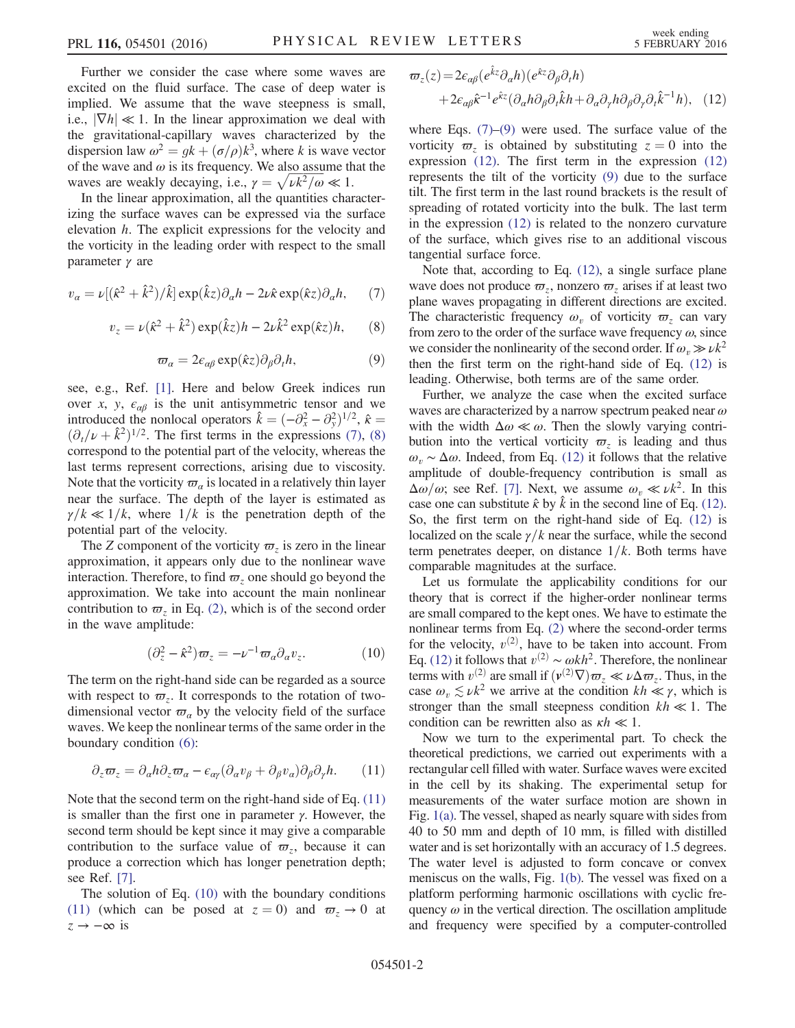Further we consider the case where some waves are excited on the fluid surface. The case of deep water is implied. We assume that the wave steepness is small, i.e.,  $|\nabla h| \ll 1$ . In the linear approximation we deal with the gravitational-capillary waves characterized by the dispersion law  $\omega^2 = gk + (\sigma/\rho)k^3$ , where k is wave vector<br>of the wave and  $\omega$  is its frequency. We also assume that the of the wave and  $\omega$  is its frequency. We also assume that the of the wave and  $\omega$  is its frequency. We also assume the waves are weakly decaying, i.e.,  $\gamma = \sqrt{\nu k^2/\omega} \ll 1$ .<br>In the linear approximation all the quantities change

In the linear approximation, all the quantities characterizing the surface waves can be expressed via the surface elevation h. The explicit expressions for the velocity and the vorticity in the leading order with respect to the small parameter γ are

<span id="page-1-1"></span><span id="page-1-0"></span>
$$
v_{\alpha} = \nu [(\hat{\kappa}^2 + \hat{k}^2)/\hat{k}] \exp(\hat{k}z) \partial_{\alpha} h - 2\nu \hat{\kappa} \exp(\hat{\kappa}z) \partial_{\alpha} h, \quad (7)
$$

$$
v_z = \nu(\hat{\kappa}^2 + \hat{k}^2) \exp(\hat{k}z)h - 2\nu\hat{k}^2 \exp(\hat{\kappa}z)h, \qquad (8)
$$

$$
\varpi_{\alpha} = 2\epsilon_{\alpha\beta} \exp(\hat{\kappa}z) \partial_{\beta} \partial_{t}h, \tag{9}
$$

<span id="page-1-4"></span>see, e.g., Ref. [\[1\].](#page-3-1) Here and below Greek indices run over x, y,  $\epsilon_{\alpha\beta}$  is the unit antisymmetric tensor and we introduced the nonlocal operators  $\hat{k} = (-\partial_x^2 - \partial_y^2)^{1/2}$ ,  $\hat{\kappa} = (\partial_x/\partial_y^2 + \hat{k}^2)^{1/2}$ . The first terms in the expressions (7) (8)  $(\partial_t/\nu + \hat{k}^2)^{1/2}$ . The first terms in the expressions [\(7\),](#page-1-0) [\(8\)](#page-1-1) correspond to the potential part of the velocity whereas the correspond to the potential part of the velocity, whereas the last terms represent corrections, arising due to viscosity. Note that the vorticity  $\varpi_{\alpha}$  is located in a relatively thin layer near the surface. The depth of the layer is estimated as  $\gamma/k \ll 1/k$ , where  $1/k$  is the penetration depth of the potential part of the velocity.

<span id="page-1-3"></span>The Z component of the vorticity  $\varpi$ <sub>z</sub> is zero in the linear approximation, it appears only due to the nonlinear wave interaction. Therefore, to find  $\varpi$ <sub>z</sub> one should go beyond the approximation. We take into account the main nonlinear contribution to  $\varpi$ , in Eq. [\(2\)](#page-0-2), which is of the second order in the wave amplitude:

$$
(\partial_z^2 - \hat{\kappa}^2)\varpi_z = -\nu^{-1}\varpi_a \partial_a v_z.
$$
 (10)

<span id="page-1-2"></span>The term on the right-hand side can be regarded as a source with respect to  $\varpi_z$ . It corresponds to the rotation of twodimensional vector  $\varpi_a$  by the velocity field of the surface waves. We keep the nonlinear terms of the same order in the boundary condition [\(6\)](#page-0-3):

$$
\partial_z \varpi_z = \partial_\alpha h \partial_z \varpi_\alpha - \epsilon_{\alpha\gamma} (\partial_\alpha v_\beta + \partial_\beta v_\alpha) \partial_\beta \partial_\gamma h. \qquad (11)
$$

Note that the second term on the right-hand side of Eq. [\(11\)](#page-1-2) is smaller than the first one in parameter γ. However, the second term should be kept since it may give a comparable contribution to the surface value of  $\varpi_z$ , because it can produce a correction which has longer penetration depth; see Ref. [\[7\]](#page-4-0).

<span id="page-1-5"></span>The solution of Eq. [\(10\)](#page-1-3) with the boundary conditions [\(11\)](#page-1-2) (which can be posed at  $z = 0$ ) and  $\varpi_z \rightarrow 0$  at  $z \rightarrow -\infty$  is

$$
\varpi_z(z) = 2\epsilon_{\alpha\beta}(e^{\hat{k}z}\partial_\alpha h)(e^{\hat{k}z}\partial_\beta \partial_\gamma h) + 2\epsilon_{\alpha\beta}\hat{\kappa}^{-1}e^{\hat{k}z}(\partial_\alpha h\partial_\beta \partial_\gamma \hat{k}h + \partial_\alpha \partial_\gamma h\partial_\beta \partial_\gamma \partial_\gamma \hat{k}^{-1}h), \quad (12)
$$

where Eqs.  $(7)$ – $(9)$  were used. The surface value of the vorticity  $\varpi$ <sub>z</sub> is obtained by substituting  $z = 0$  into the expression [\(12\)](#page-1-5). The first term in the expression [\(12\)](#page-1-5) represents the tilt of the vorticity [\(9\)](#page-1-4) due to the surface tilt. The first term in the last round brackets is the result of spreading of rotated vorticity into the bulk. The last term in the expression [\(12\)](#page-1-5) is related to the nonzero curvature of the surface, which gives rise to an additional viscous tangential surface force.

Note that, according to Eq. [\(12\),](#page-1-5) a single surface plane wave does not produce  $\varpi_z$ , nonzero  $\varpi_z$  arises if at least two plane waves propagating in different directions are excited. The characteristic frequency  $\omega<sub>v</sub>$  of vorticity  $\varpi<sub>z</sub>$  can vary from zero to the order of the surface wave frequency  $\omega$ , since we consider the nonlinearity of the second order. If  $\omega$ <sub>n</sub>  $\gg \nu k^2$ then the first term on the right-hand side of Eq. [\(12\)](#page-1-5) is leading. Otherwise, both terms are of the same order.

Further, we analyze the case when the excited surface waves are characterized by a narrow spectrum peaked near  $\omega$ with the width  $\Delta \omega \ll \omega$ . Then the slowly varying contribution into the vertical vorticity  $\varpi$ <sub>z</sub> is leading and thus  $ω<sub>v</sub> ~ Δω$ . Indeed, from Eq. [\(12\)](#page-1-5) it follows that the relative applitude of double frequency, contribution is small as amplitude of double-frequency contribution is small as  $\Delta\omega/\omega$ ; see Ref. [\[7\].](#page-4-0) Next, we assume  $\omega_v \ll \nu k^2$ . In this case one can substitute  $\hat{\kappa}$  by  $\hat{k}$  in the second line of Eq. [\(12\)](#page-1-5). So, the first term on the right-hand side of Eq. [\(12\)](#page-1-5) is localized on the scale  $\gamma/k$  near the surface, while the second term penetrates deeper, on distance  $1/k$ . Both terms have comparable magnitudes at the surface.

Let us formulate the applicability conditions for our theory that is correct if the higher-order nonlinear terms are small compared to the kept ones. We have to estimate the nonlinear terms from Eq. [\(2\)](#page-0-2) where the second-order terms for the velocity,  $v^{(2)}$ , have to be taken into account. From<br>Eq. (12) it follows that  $v^{(2)} \sim \omega k h^2$ . Therefore, the nonlinear Eq. [\(12\)](#page-1-5) it follows that  $v^{(2)} \sim \omega k h^2$ . Therefore, the nonlinear terms with  $v^{(2)}$  are small if  $(v^{(2)}\nabla)\varpi_z \ll \nu \Delta \varpi_z$ . Thus, in the case  $\omega \leq v k^2$  we arrive at the condition  $k \ll \nu$  which is case  $\omega_r \lesssim \nu k^2$  we arrive at the condition  $kh \ll \gamma$ , which is stronger than the small steepness condition  $kh \ll 1$ . The condition can be rewritten also as  $\kappa h \ll 1$ .

Now we turn to the experimental part. To check the theoretical predictions, we carried out experiments with a rectangular cell filled with water. Surface waves were excited in the cell by its shaking. The experimental setup for measurements of the water surface motion are shown in Fig. [1\(a\)](#page-2-0). The vessel, shaped as nearly square with sides from 40 to 50 mm and depth of 10 mm, is filled with distilled water and is set horizontally with an accuracy of 1.5 degrees. The water level is adjusted to form concave or convex meniscus on the walls, Fig. [1\(b\)](#page-2-0). The vessel was fixed on a platform performing harmonic oscillations with cyclic frequency  $\omega$  in the vertical direction. The oscillation amplitude and frequency were specified by a computer-controlled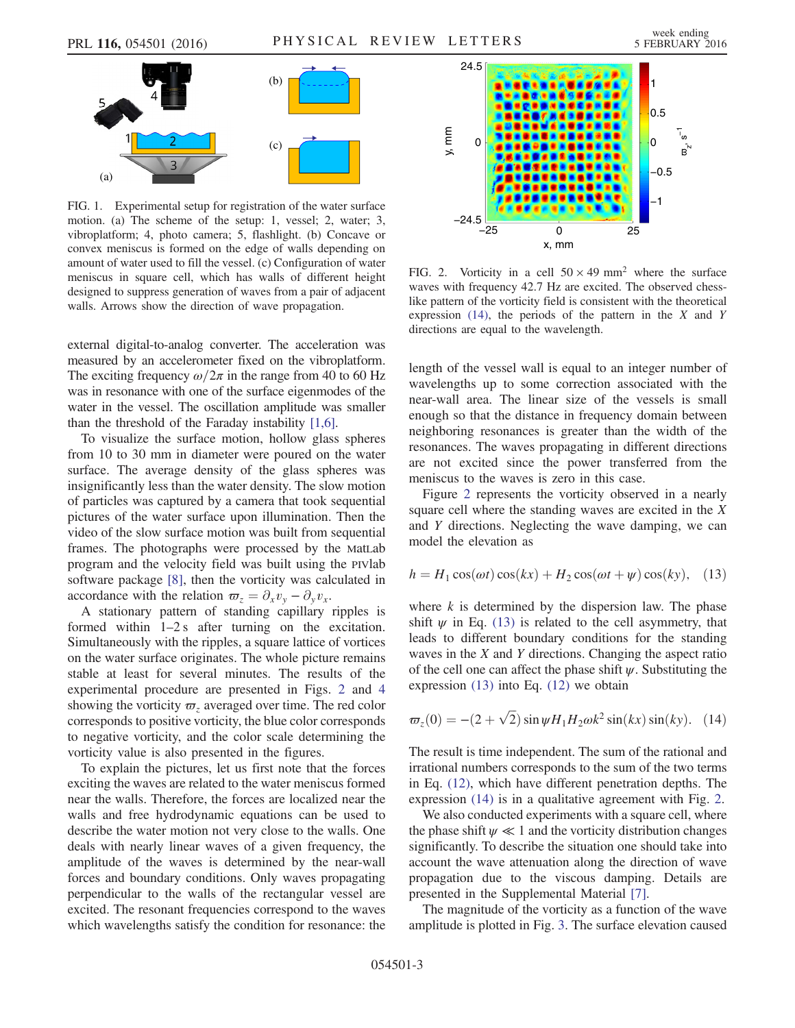<span id="page-2-0"></span>

FIG. 1. Experimental setup for registration of the water surface motion. (a) The scheme of the setup: 1, vessel; 2, water; 3, vibroplatform; 4, photo camera; 5, flashlight. (b) Concave or convex meniscus is formed on the edge of walls depending on amount of water used to fill the vessel. (c) Configuration of water meniscus in square cell, which has walls of different height designed to suppress generation of waves from a pair of adjacent walls. Arrows show the direction of wave propagation.

external digital-to-analog converter. The acceleration was measured by an accelerometer fixed on the vibroplatform. The exciting frequency  $\omega/2\pi$  in the range from 40 to 60 Hz was in resonance with one of the surface eigenmodes of the water in the vessel. The oscillation amplitude was smaller than the threshold of the Faraday instability [\[1,6\]](#page-3-1).

To visualize the surface motion, hollow glass spheres from 10 to 30 mm in diameter were poured on the water surface. The average density of the glass spheres was insignificantly less than the water density. The slow motion of particles was captured by a camera that took sequential pictures of the water surface upon illumination. Then the video of the slow surface motion was built from sequential frames. The photographs were processed by the MatLab program and the velocity field was built using the PIVlab software package [\[8\],](#page-4-1) then the vorticity was calculated in accordance with the relation  $\varpi_z = \partial_x v_y - \partial_y v_x$ .

A stationary pattern of standing capillary ripples is formed within  $1-2$  s after turning on the excitation. Simultaneously with the ripples, a square lattice of vortices on the water surface originates. The whole picture remains stable at least for several minutes. The results of the experimental procedure are presented in Figs. [2](#page-2-1) and [4](#page-3-3) showing the vorticity  $\varpi$ <sub>z</sub> averaged over time. The red color corresponds to positive vorticity, the blue color corresponds to negative vorticity, and the color scale determining the vorticity value is also presented in the figures.

To explain the pictures, let us first note that the forces exciting the waves are related to the water meniscus formed near the walls. Therefore, the forces are localized near the walls and free hydrodynamic equations can be used to describe the water motion not very close to the walls. One deals with nearly linear waves of a given frequency, the amplitude of the waves is determined by the near-wall forces and boundary conditions. Only waves propagating perpendicular to the walls of the rectangular vessel are excited. The resonant frequencies correspond to the waves which wavelengths satisfy the condition for resonance: the

<span id="page-2-1"></span>

FIG. 2. Vorticity in a cell  $50 \times 49$  mm<sup>2</sup> where the surface waves with frequency 42.7 Hz are excited. The observed chesslike pattern of the vorticity field is consistent with the theoretical expression  $(14)$ , the periods of the pattern in the X and Y directions are equal to the wavelength.

length of the vessel wall is equal to an integer number of wavelengths up to some correction associated with the near-wall area. The linear size of the vessels is small enough so that the distance in frequency domain between neighboring resonances is greater than the width of the resonances. The waves propagating in different directions are not excited since the power transferred from the meniscus to the waves is zero in this case.

<span id="page-2-2"></span>Figure [2](#page-2-1) represents the vorticity observed in a nearly square cell where the standing waves are excited in the X and Y directions. Neglecting the wave damping, we can model the elevation as

$$
h = H_1 \cos(\omega t) \cos(kx) + H_2 \cos(\omega t + \psi) \cos(ky), \quad (13)
$$

where  $k$  is determined by the dispersion law. The phase shift  $\psi$  in Eq. [\(13\)](#page-2-2) is related to the cell asymmetry, that leads to different boundary conditions for the standing waves in the X and Y directions. Changing the aspect ratio of the cell one can affect the phase shift  $\psi$ . Substituting the expression [\(13\)](#page-2-2) into Eq. [\(12\)](#page-1-5) we obtain

<span id="page-2-3"></span>
$$
\varpi_z(0) = -(2+\sqrt{2})\sin\psi H_1 H_2 \omega k^2 \sin(kx)\sin(ky). \quad (14)
$$

The result is time independent. The sum of the rational and irrational numbers corresponds to the sum of the two terms in Eq. [\(12\)](#page-1-5), which have different penetration depths. The expression [\(14\)](#page-2-3) is in a qualitative agreement with Fig. [2.](#page-2-1)

We also conducted experiments with a square cell, where the phase shift  $\psi \ll 1$  and the vorticity distribution changes significantly. To describe the situation one should take into account the wave attenuation along the direction of wave propagation due to the viscous damping. Details are presented in the Supplemental Material [\[7\].](#page-4-0)

The magnitude of the vorticity as a function of the wave amplitude is plotted in Fig. [3](#page-3-4). The surface elevation caused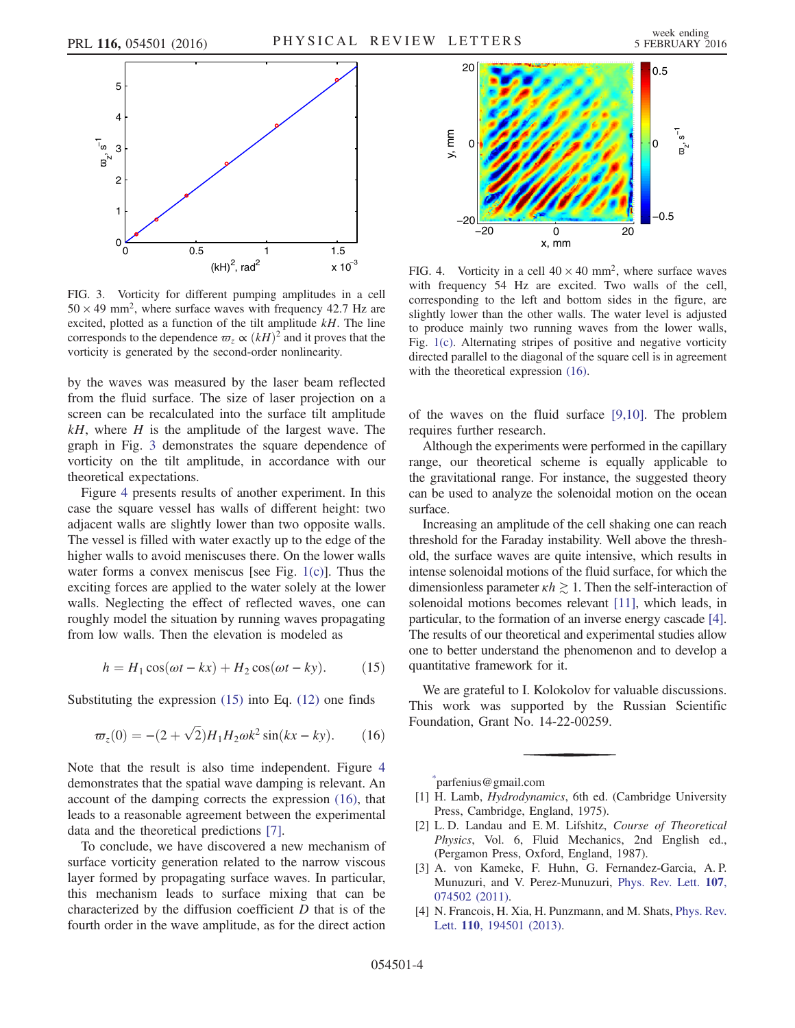<span id="page-3-4"></span>

FIG. 3. Vorticity for different pumping amplitudes in a cell  $50 \times 49$  mm<sup>2</sup>, where surface waves with frequency 42.7 Hz are excited, plotted as a function of the tilt amplitude  $kH$ . The line corresponds to the dependence  $\varpi$ <sub>z</sub>  $\propto (kH)^2$  and it proves that the vorticity is generated by the second-order nonlinearity.

by the waves was measured by the laser beam reflected from the fluid surface. The size of laser projection on a screen can be recalculated into the surface tilt amplitude  $kH$ , where H is the amplitude of the largest wave. The graph in Fig. [3](#page-3-4) demonstrates the square dependence of vorticity on the tilt amplitude, in accordance with our theoretical expectations.

Figure [4](#page-3-3) presents results of another experiment. In this case the square vessel has walls of different height: two adjacent walls are slightly lower than two opposite walls. The vessel is filled with water exactly up to the edge of the higher walls to avoid meniscuses there. On the lower walls water forms a convex meniscus [see Fig. [1\(c\)\]](#page-2-0). Thus the exciting forces are applied to the water solely at the lower walls. Neglecting the effect of reflected waves, one can roughly model the situation by running waves propagating from low walls. Then the elevation is modeled as

<span id="page-3-5"></span>
$$
h = H_1 \cos(\omega t - kx) + H_2 \cos(\omega t - ky). \tag{15}
$$

<span id="page-3-6"></span>Substituting the expression  $(15)$  into Eq.  $(12)$  one finds

$$
\varpi_z(0) = -(2 + \sqrt{2})H_1H_2\omega k^2 \sin(kx - ky). \qquad (16)
$$

Note that the result is also time independent. Figure [4](#page-3-3) demonstrates that the spatial wave damping is relevant. An account of the damping corrects the expression [\(16\)](#page-3-6), that leads to a reasonable agreement between the experimental data and the theoretical predictions [\[7\].](#page-4-0)

To conclude, we have discovered a new mechanism of surface vorticity generation related to the narrow viscous layer formed by propagating surface waves. In particular, this mechanism leads to surface mixing that can be characterized by the diffusion coefficient  $D$  that is of the fourth order in the wave amplitude, as for the direct action

<span id="page-3-3"></span>

FIG. 4. Vorticity in a cell  $40 \times 40$  mm<sup>2</sup>, where surface waves with frequency 54 Hz are excited. Two walls of the cell, corresponding to the left and bottom sides in the figure, are slightly lower than the other walls. The water level is adjusted to produce mainly two running waves from the lower walls, Fig. [1\(c\).](#page-2-0) Alternating stripes of positive and negative vorticity directed parallel to the diagonal of the square cell is in agreement with the theoretical expression [\(16\)](#page-3-6).

of the waves on the fluid surface [\[9,10\]](#page-4-2). The problem requires further research.

Although the experiments were performed in the capillary range, our theoretical scheme is equally applicable to the gravitational range. For instance, the suggested theory can be used to analyze the solenoidal motion on the ocean surface.

Increasing an amplitude of the cell shaking one can reach threshold for the Faraday instability. Well above the threshold, the surface waves are quite intensive, which results in intense solenoidal motions of the fluid surface, for which the dimensionless parameter  $\kappa h \gtrsim 1$ . Then the self-interaction of solenoidal motions becomes relevant [\[11\],](#page-4-3) which leads, in particular, to the formation of an inverse energy cascade [\[4\]](#page-3-7). The results of our theoretical and experimental studies allow one to better understand the phenomenon and to develop a quantitative framework for it.

We are grateful to I. Kolokolov for valuable discussions. This work was supported by the Russian Scientific Foundation, Grant No. 14-22-00259.

<span id="page-3-0"></span>[\\*](#page-0-4) parfenius@gmail.com

- <span id="page-3-1"></span>[1] H. Lamb, *Hydrodynamics*, 6th ed. (Cambridge University Press, Cambridge, England, 1975).
- [2] L. D. Landau and E. M. Lifshitz, Course of Theoretical Physics, Vol. 6, Fluid Mechanics, 2nd English ed., (Pergamon Press, Oxford, England, 1987).
- <span id="page-3-2"></span>[3] A. von Kameke, F. Huhn, G. Fernandez-Garcia, A. P. Munuzuri, and V. Perez-Munuzuri, [Phys. Rev. Lett.](http://dx.doi.org/10.1103/PhysRevLett.107.074502) 107, [074502 \(2011\).](http://dx.doi.org/10.1103/PhysRevLett.107.074502)
- <span id="page-3-7"></span>[4] N. Francois, H. Xia, H. Punzmann, and M. Shats, [Phys. Rev.](http://dx.doi.org/10.1103/PhysRevLett.110.194501) Lett. 110[, 194501 \(2013\)](http://dx.doi.org/10.1103/PhysRevLett.110.194501).